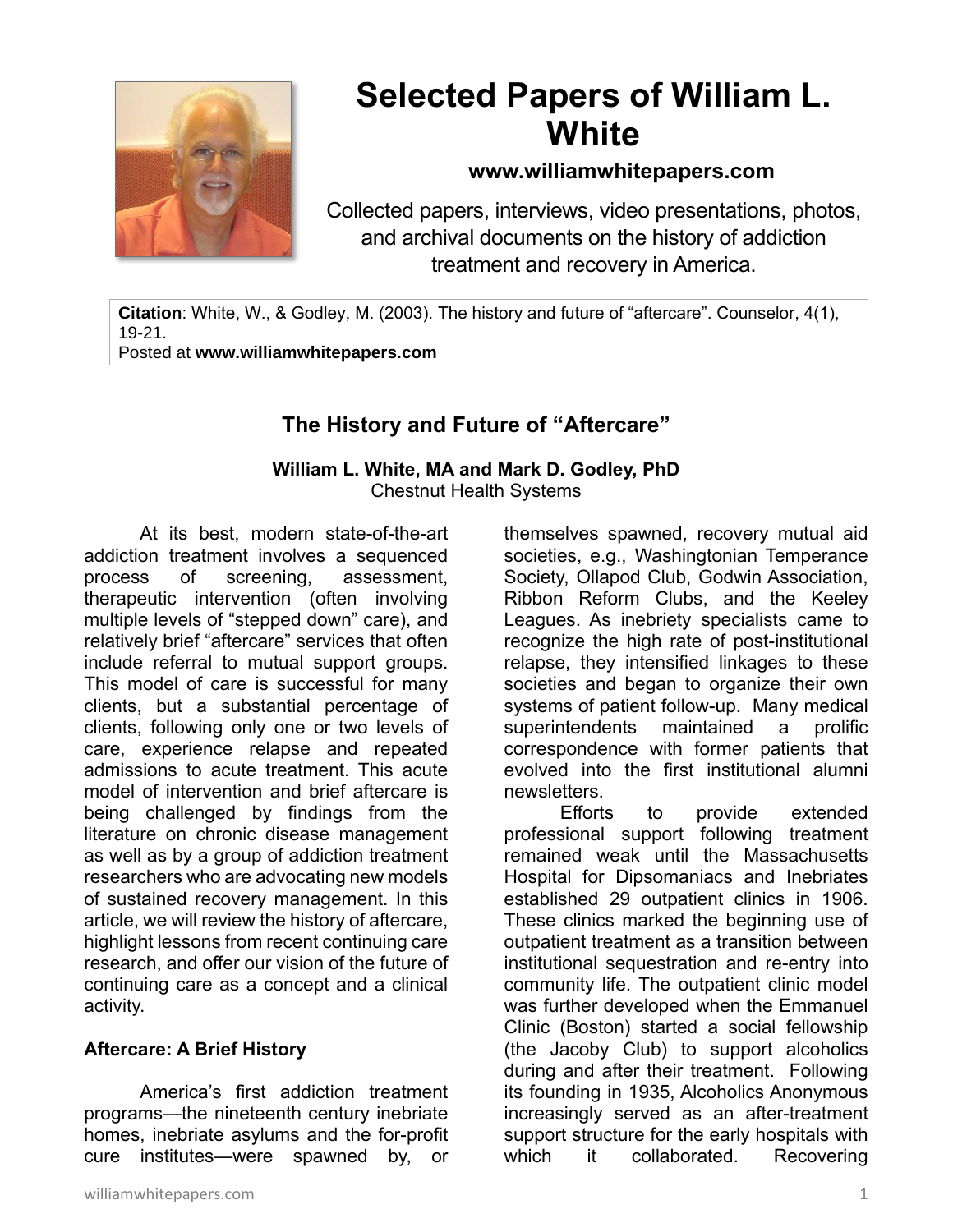

# **Selected Papers of William L. White**

### **www.williamwhitepapers.com**

Collected papers, interviews, video presentations, photos, and archival documents on the history of addiction treatment and recovery in America.

**Citation**: White, W., & Godley, M. (2003). The history and future of "aftercare". Counselor, 4(1), 19-21. Posted at **www.williamwhitepapers.com**

# **The History and Future of "Aftercare"**

#### **William L. White, MA and Mark D. Godley, PhD** Chestnut Health Systems

At its best, modern state-of-the-art addiction treatment involves a sequenced process of screening, assessment, therapeutic intervention (often involving multiple levels of "stepped down" care), and relatively brief "aftercare" services that often include referral to mutual support groups. This model of care is successful for many clients, but a substantial percentage of clients, following only one or two levels of care, experience relapse and repeated admissions to acute treatment. This acute model of intervention and brief aftercare is being challenged by findings from the literature on chronic disease management as well as by a group of addiction treatment researchers who are advocating new models of sustained recovery management. In this article, we will review the history of aftercare, highlight lessons from recent continuing care research, and offer our vision of the future of continuing care as a concept and a clinical activity.

#### **Aftercare: A Brief History**

America's first addiction treatment programs—the nineteenth century inebriate homes, inebriate asylums and the for-profit cure institutes—were spawned by, or

themselves spawned, recovery mutual aid societies, e.g., Washingtonian Temperance Society, Ollapod Club, Godwin Association, Ribbon Reform Clubs, and the Keeley Leagues. As inebriety specialists came to recognize the high rate of post-institutional relapse, they intensified linkages to these societies and began to organize their own systems of patient follow-up. Many medical superintendents maintained a prolific correspondence with former patients that evolved into the first institutional alumni newsletters.

 Efforts to provide extended professional support following treatment remained weak until the Massachusetts Hospital for Dipsomaniacs and Inebriates established 29 outpatient clinics in 1906. These clinics marked the beginning use of outpatient treatment as a transition between institutional sequestration and re-entry into community life. The outpatient clinic model was further developed when the Emmanuel Clinic (Boston) started a social fellowship (the Jacoby Club) to support alcoholics during and after their treatment. Following its founding in 1935, Alcoholics Anonymous increasingly served as an after-treatment support structure for the early hospitals with which it collaborated. Recovering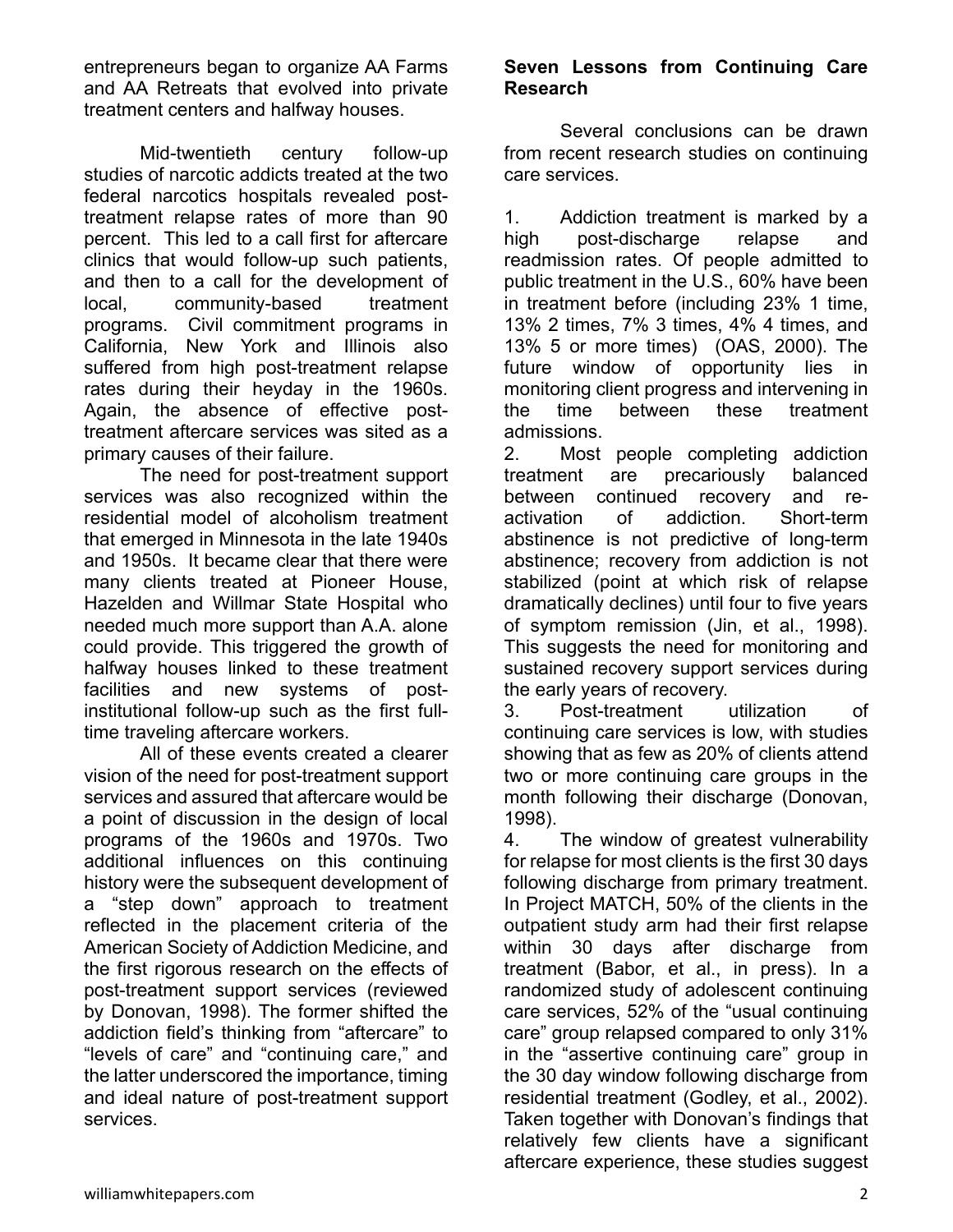entrepreneurs began to organize AA Farms and AA Retreats that evolved into private treatment centers and halfway houses.

Mid-twentieth century follow-up studies of narcotic addicts treated at the two federal narcotics hospitals revealed posttreatment relapse rates of more than 90 percent. This led to a call first for aftercare clinics that would follow-up such patients, and then to a call for the development of local, community-based treatment programs. Civil commitment programs in California, New York and Illinois also suffered from high post-treatment relapse rates during their heyday in the 1960s. Again, the absence of effective posttreatment aftercare services was sited as a primary causes of their failure.

The need for post-treatment support services was also recognized within the residential model of alcoholism treatment that emerged in Minnesota in the late 1940s and 1950s. It became clear that there were many clients treated at Pioneer House, Hazelden and Willmar State Hospital who needed much more support than A.A. alone could provide. This triggered the growth of halfway houses linked to these treatment facilities and new systems of postinstitutional follow-up such as the first fulltime traveling aftercare workers.

All of these events created a clearer vision of the need for post-treatment support services and assured that aftercare would be a point of discussion in the design of local programs of the 1960s and 1970s. Two additional influences on this continuing history were the subsequent development of a "step down" approach to treatment reflected in the placement criteria of the American Society of Addiction Medicine, and the first rigorous research on the effects of post-treatment support services (reviewed by Donovan, 1998). The former shifted the addiction field's thinking from "aftercare" to "levels of care" and "continuing care," and the latter underscored the importance, timing and ideal nature of post-treatment support services.

#### **Seven Lessons from Continuing Care Research**

Several conclusions can be drawn from recent research studies on continuing care services.

1. Addiction treatment is marked by a high post-discharge relapse and readmission rates. Of people admitted to public treatment in the U.S., 60% have been in treatment before (including 23% 1 time, 13% 2 times, 7% 3 times, 4% 4 times, and 13% 5 or more times) (OAS, 2000). The future window of opportunity lies in monitoring client progress and intervening in the time between these treatment admissions.

2. Most people completing addiction treatment are precariously balanced between continued recovery and reactivation of addiction. Short-term abstinence is not predictive of long-term abstinence; recovery from addiction is not stabilized (point at which risk of relapse dramatically declines) until four to five years of symptom remission (Jin, et al., 1998). This suggests the need for monitoring and sustained recovery support services during the early years of recovery.

3. Post-treatment utilization of continuing care services is low, with studies showing that as few as 20% of clients attend two or more continuing care groups in the month following their discharge (Donovan, 1998).

4. The window of greatest vulnerability for relapse for most clients is the first 30 days following discharge from primary treatment. In Project MATCH, 50% of the clients in the outpatient study arm had their first relapse within 30 days after discharge from treatment (Babor, et al., in press). In a randomized study of adolescent continuing care services, 52% of the "usual continuing care" group relapsed compared to only 31% in the "assertive continuing care" group in the 30 day window following discharge from residential treatment (Godley, et al., 2002). Taken together with Donovan's findings that relatively few clients have a significant aftercare experience, these studies suggest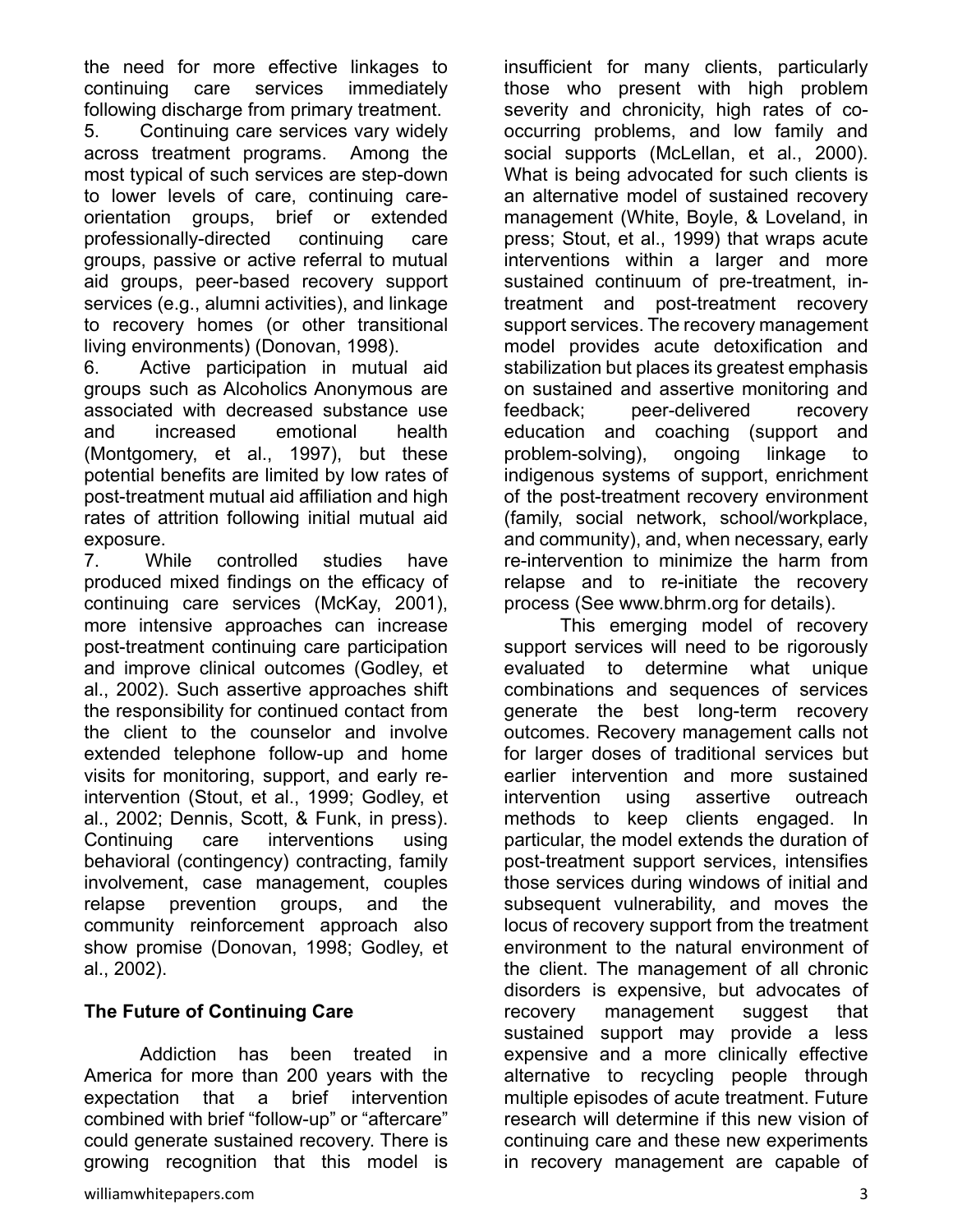the need for more effective linkages to continuing care services immediately following discharge from primary treatment.

5. Continuing care services vary widely across treatment programs. Among the most typical of such services are step-down to lower levels of care, continuing careorientation groups, brief or extended professionally-directed continuing care groups, passive or active referral to mutual aid groups, peer-based recovery support services (e.g., alumni activities), and linkage to recovery homes (or other transitional living environments) (Donovan, 1998).

6. Active participation in mutual aid groups such as Alcoholics Anonymous are associated with decreased substance use and increased emotional health (Montgomery, et al., 1997), but these potential benefits are limited by low rates of post-treatment mutual aid affiliation and high rates of attrition following initial mutual aid exposure.

7. While controlled studies have produced mixed findings on the efficacy of continuing care services (McKay, 2001), more intensive approaches can increase post-treatment continuing care participation and improve clinical outcomes (Godley, et al., 2002). Such assertive approaches shift the responsibility for continued contact from the client to the counselor and involve extended telephone follow-up and home visits for monitoring, support, and early reintervention (Stout, et al., 1999; Godley, et al., 2002; Dennis, Scott, & Funk, in press). Continuing care interventions using behavioral (contingency) contracting, family involvement, case management, couples relapse prevention groups, and the community reinforcement approach also show promise (Donovan, 1998; Godley, et al., 2002).

## **The Future of Continuing Care**

Addiction has been treated in America for more than 200 years with the expectation that a brief intervention combined with brief "follow-up" or "aftercare" could generate sustained recovery. There is growing recognition that this model is

insufficient for many clients, particularly those who present with high problem severity and chronicity, high rates of cooccurring problems, and low family and social supports (McLellan, et al., 2000). What is being advocated for such clients is an alternative model of sustained recovery management (White, Boyle, & Loveland, in press; Stout, et al., 1999) that wraps acute interventions within a larger and more sustained continuum of pre-treatment, intreatment and post-treatment recovery support services. The recovery management model provides acute detoxification and stabilization but places its greatest emphasis on sustained and assertive monitoring and feedback; peer-delivered recovery education and coaching (support and problem-solving), ongoing linkage to indigenous systems of support, enrichment of the post-treatment recovery environment (family, social network, school/workplace, and community), and, when necessary, early re-intervention to minimize the harm from relapse and to re-initiate the recovery process (See www.bhrm.org for details).

This emerging model of recovery support services will need to be rigorously evaluated to determine what unique combinations and sequences of services generate the best long-term recovery outcomes. Recovery management calls not for larger doses of traditional services but earlier intervention and more sustained intervention using assertive outreach methods to keep clients engaged. In particular, the model extends the duration of post-treatment support services, intensifies those services during windows of initial and subsequent vulnerability, and moves the locus of recovery support from the treatment environment to the natural environment of the client. The management of all chronic disorders is expensive, but advocates of recovery management suggest that sustained support may provide a less expensive and a more clinically effective alternative to recycling people through multiple episodes of acute treatment. Future research will determine if this new vision of continuing care and these new experiments in recovery management are capable of